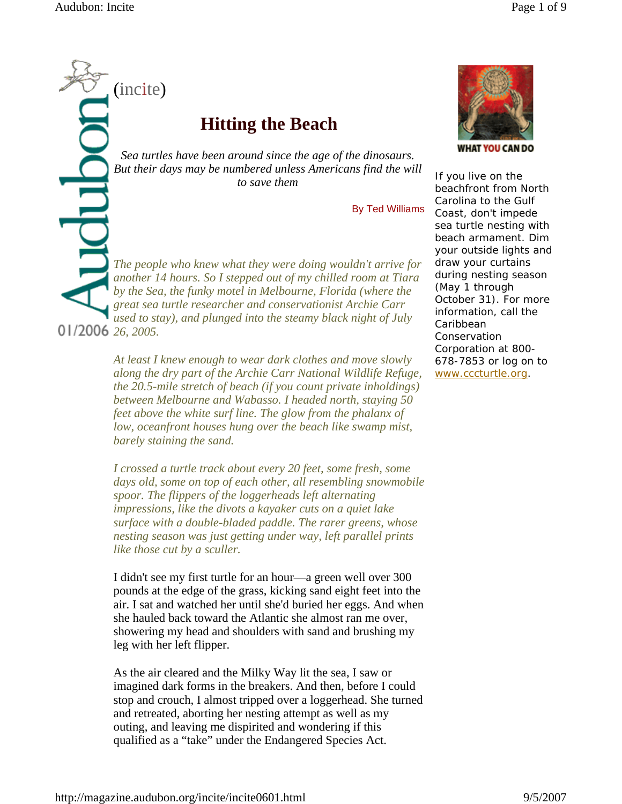(incite)

## **Hitting the Beach**

*Sea turtles have been around since the age of the dinosaurs. But their days may be numbered unless Americans find the will to save them*

By Ted Williams

*The people who knew what they were doing wouldn't arrive for another 14 hours. So I stepped out of my chilled room at Tiara by the Sea, the funky motel in Melbourne, Florida (where the great sea turtle researcher and conservationist Archie Carr used to stay), and plunged into the steamy black night of July 26, 2005.* 

> *At least I knew enough to wear dark clothes and move slowly along the dry part of the Archie Carr National Wildlife Refuge, the 20.5-mile stretch of beach (if you count private inholdings) between Melbourne and Wabasso. I headed north, staying 50 feet above the white surf line. The glow from the phalanx of low, oceanfront houses hung over the beach like swamp mist, barely staining the sand.*

> *I crossed a turtle track about every 20 feet, some fresh, some days old, some on top of each other, all resembling snowmobile spoor. The flippers of the loggerheads left alternating impressions, like the divots a kayaker cuts on a quiet lake surface with a double-bladed paddle. The rarer greens, whose nesting season was just getting under way, left parallel prints like those cut by a sculler.*

> I didn't see my first turtle for an hour—a green well over 300 pounds at the edge of the grass, kicking sand eight feet into the air. I sat and watched her until she'd buried her eggs. And when she hauled back toward the Atlantic she almost ran me over, showering my head and shoulders with sand and brushing my leg with her left flipper.

> As the air cleared and the Milky Way lit the sea, I saw or imagined dark forms in the breakers. And then, before I could stop and crouch, I almost tripped over a loggerhead. She turned and retreated, aborting her nesting attempt as well as my outing, and leaving me dispirited and wondering if this qualified as a "take" under the Endangered Species Act.



**WHAT YOU CAN DO** 

If you live on the beachfront from North Carolina to the Gulf Coast, don't impede sea turtle nesting with beach armament. Dim your outside lights and draw your curtains during nesting season (May 1 through October 31). For more information, call the Caribbean Conservation Corporation at 800- 678-7853 or log on to www.cccturtle.org.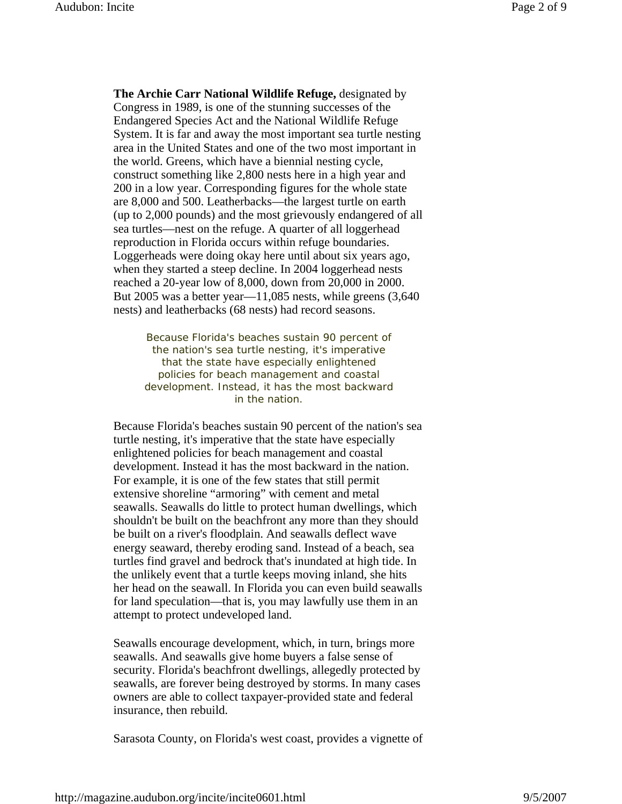**The Archie Carr National Wildlife Refuge,** designated by Congress in 1989, is one of the stunning successes of the Endangered Species Act and the National Wildlife Refuge System. It is far and away the most important sea turtle nesting area in the United States and one of the two most important in the world. Greens, which have a biennial nesting cycle, construct something like 2,800 nests here in a high year and 200 in a low year. Corresponding figures for the whole state are 8,000 and 500. Leatherbacks—the largest turtle on earth (up to 2,000 pounds) and the most grievously endangered of all sea turtles—nest on the refuge. A quarter of all loggerhead reproduction in Florida occurs within refuge boundaries. Loggerheads were doing okay here until about six years ago, when they started a steep decline. In 2004 loggerhead nests reached a 20-year low of 8,000, down from 20,000 in 2000. But 2005 was a better year—11,085 nests, while greens (3,640 nests) and leatherbacks (68 nests) had record seasons.

Because Florida's beaches sustain 90 percent of the nation's sea turtle nesting, it's imperative that the state have especially enlightened policies for beach management and coastal development. Instead, it has the most backward in the nation.

Because Florida's beaches sustain 90 percent of the nation's sea turtle nesting, it's imperative that the state have especially enlightened policies for beach management and coastal development. Instead it has the most backward in the nation. For example, it is one of the few states that still permit extensive shoreline "armoring" with cement and metal seawalls. Seawalls do little to protect human dwellings, which shouldn't be built on the beachfront any more than they should be built on a river's floodplain. And seawalls deflect wave energy seaward, thereby eroding sand. Instead of a beach, sea turtles find gravel and bedrock that's inundated at high tide. In the unlikely event that a turtle keeps moving inland, she hits her head on the seawall. In Florida you can even build seawalls for land speculation—that is, you may lawfully use them in an attempt to protect undeveloped land.

Seawalls encourage development, which, in turn, brings more seawalls. And seawalls give home buyers a false sense of security. Florida's beachfront dwellings, allegedly protected by seawalls, are forever being destroyed by storms. In many cases owners are able to collect taxpayer-provided state and federal insurance, then rebuild.

Sarasota County, on Florida's west coast, provides a vignette of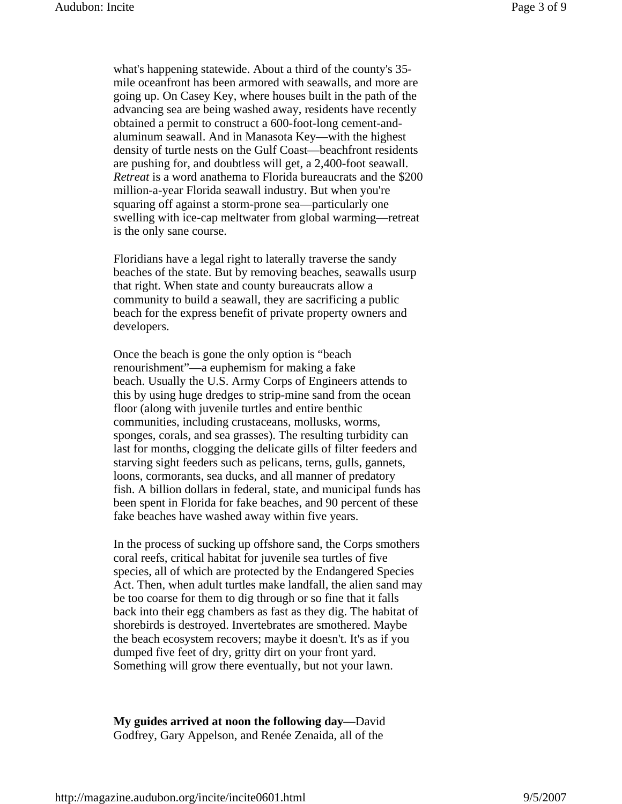what's happening statewide. About a third of the county's 35 mile oceanfront has been armored with seawalls, and more are going up. On Casey Key, where houses built in the path of the advancing sea are being washed away, residents have recently obtained a permit to construct a 600-foot-long cement-andaluminum seawall. And in Manasota Key—with the highest density of turtle nests on the Gulf Coast—beachfront residents are pushing for, and doubtless will get, a 2,400-foot seawall. *Retreat* is a word anathema to Florida bureaucrats and the \$200 million-a-year Florida seawall industry. But when you're squaring off against a storm-prone sea—particularly one swelling with ice-cap meltwater from global warming—retreat is the only sane course.

Floridians have a legal right to laterally traverse the sandy beaches of the state. But by removing beaches, seawalls usurp that right. When state and county bureaucrats allow a community to build a seawall, they are sacrificing a public beach for the express benefit of private property owners and developers.

Once the beach is gone the only option is "beach renourishment"—a euphemism for making a fake beach. Usually the U.S. Army Corps of Engineers attends to this by using huge dredges to strip-mine sand from the ocean floor (along with juvenile turtles and entire benthic communities, including crustaceans, mollusks, worms, sponges, corals, and sea grasses). The resulting turbidity can last for months, clogging the delicate gills of filter feeders and starving sight feeders such as pelicans, terns, gulls, gannets, loons, cormorants, sea ducks, and all manner of predatory fish. A billion dollars in federal, state, and municipal funds has been spent in Florida for fake beaches, and 90 percent of these fake beaches have washed away within five years.

In the process of sucking up offshore sand, the Corps smothers coral reefs, critical habitat for juvenile sea turtles of five species, all of which are protected by the Endangered Species Act. Then, when adult turtles make landfall, the alien sand may be too coarse for them to dig through or so fine that it falls back into their egg chambers as fast as they dig. The habitat of shorebirds is destroyed. Invertebrates are smothered. Maybe the beach ecosystem recovers; maybe it doesn't. It's as if you dumped five feet of dry, gritty dirt on your front yard. Something will grow there eventually, but not your lawn.

**My guides arrived at noon the following day—**David Godfrey, Gary Appelson, and Renée Zenaida, all of the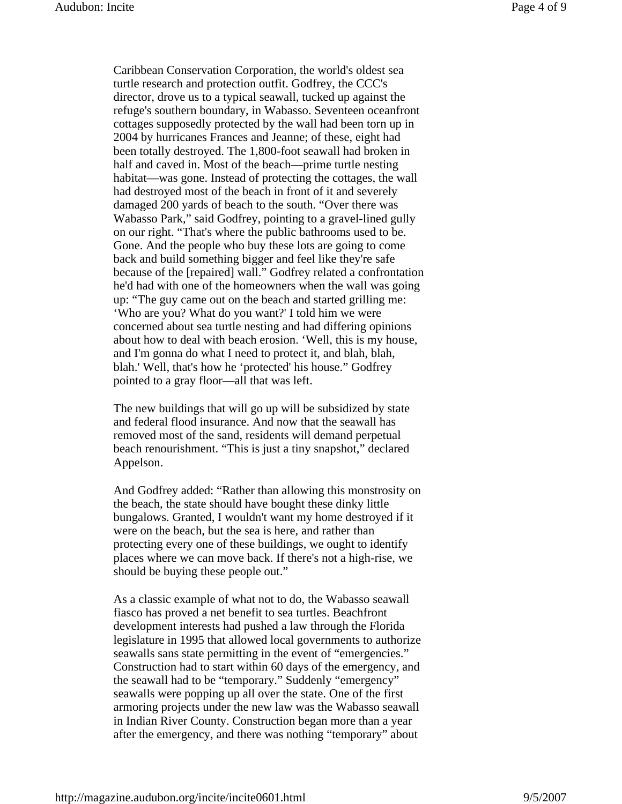Caribbean Conservation Corporation, the world's oldest sea turtle research and protection outfit. Godfrey, the CCC's director, drove us to a typical seawall, tucked up against the refuge's southern boundary, in Wabasso. Seventeen oceanfront cottages supposedly protected by the wall had been torn up in 2004 by hurricanes Frances and Jeanne; of these, eight had been totally destroyed. The 1,800-foot seawall had broken in half and caved in. Most of the beach—prime turtle nesting habitat—was gone. Instead of protecting the cottages, the wall had destroyed most of the beach in front of it and severely damaged 200 yards of beach to the south. "Over there was Wabasso Park," said Godfrey, pointing to a gravel-lined gully on our right. "That's where the public bathrooms used to be. Gone. And the people who buy these lots are going to come back and build something bigger and feel like they're safe because of the [repaired] wall." Godfrey related a confrontation he'd had with one of the homeowners when the wall was going up: "The guy came out on the beach and started grilling me: 'Who are you? What do you want?' I told him we were concerned about sea turtle nesting and had differing opinions about how to deal with beach erosion. 'Well, this is my house, and I'm gonna do what I need to protect it, and blah, blah, blah.' Well, that's how he 'protected' his house." Godfrey pointed to a gray floor—all that was left.

The new buildings that will go up will be subsidized by state and federal flood insurance. And now that the seawall has removed most of the sand, residents will demand perpetual beach renourishment. "This is just a tiny snapshot," declared Appelson.

And Godfrey added: "Rather than allowing this monstrosity on the beach, the state should have bought these dinky little bungalows. Granted, I wouldn't want my home destroyed if it were on the beach, but the sea is here, and rather than protecting every one of these buildings, we ought to identify places where we can move back. If there's not a high-rise, we should be buying these people out."

As a classic example of what not to do, the Wabasso seawall fiasco has proved a net benefit to sea turtles. Beachfront development interests had pushed a law through the Florida legislature in 1995 that allowed local governments to authorize seawalls sans state permitting in the event of "emergencies." Construction had to start within 60 days of the emergency, and the seawall had to be "temporary." Suddenly "emergency" seawalls were popping up all over the state. One of the first armoring projects under the new law was the Wabasso seawall in Indian River County. Construction began more than a year after the emergency, and there was nothing "temporary" about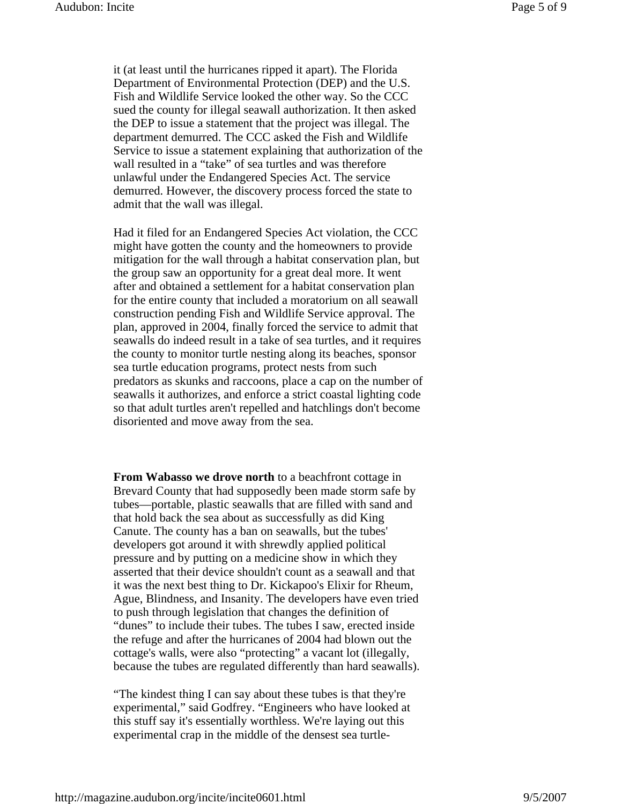it (at least until the hurricanes ripped it apart). The Florida Department of Environmental Protection (DEP) and the U.S. Fish and Wildlife Service looked the other way. So the CCC sued the county for illegal seawall authorization. It then asked the DEP to issue a statement that the project was illegal. The department demurred. The CCC asked the Fish and Wildlife Service to issue a statement explaining that authorization of the wall resulted in a "take" of sea turtles and was therefore unlawful under the Endangered Species Act. The service demurred. However, the discovery process forced the state to admit that the wall was illegal.

Had it filed for an Endangered Species Act violation, the CCC might have gotten the county and the homeowners to provide mitigation for the wall through a habitat conservation plan, but the group saw an opportunity for a great deal more. It went after and obtained a settlement for a habitat conservation plan for the entire county that included a moratorium on all seawall construction pending Fish and Wildlife Service approval. The plan, approved in 2004, finally forced the service to admit that seawalls do indeed result in a take of sea turtles, and it requires the county to monitor turtle nesting along its beaches, sponsor sea turtle education programs, protect nests from such predators as skunks and raccoons, place a cap on the number of seawalls it authorizes, and enforce a strict coastal lighting code so that adult turtles aren't repelled and hatchlings don't become disoriented and move away from the sea.

**From Wabasso we drove north** to a beachfront cottage in Brevard County that had supposedly been made storm safe by tubes—portable, plastic seawalls that are filled with sand and that hold back the sea about as successfully as did King Canute. The county has a ban on seawalls, but the tubes' developers got around it with shrewdly applied political pressure and by putting on a medicine show in which they asserted that their device shouldn't count as a seawall and that it was the next best thing to Dr. Kickapoo's Elixir for Rheum, Ague, Blindness, and Insanity. The developers have even tried to push through legislation that changes the definition of "dunes" to include their tubes. The tubes I saw, erected inside the refuge and after the hurricanes of 2004 had blown out the cottage's walls, were also "protecting" a vacant lot (illegally, because the tubes are regulated differently than hard seawalls).

"The kindest thing I can say about these tubes is that they're experimental," said Godfrey. "Engineers who have looked at this stuff say it's essentially worthless. We're laying out this experimental crap in the middle of the densest sea turtle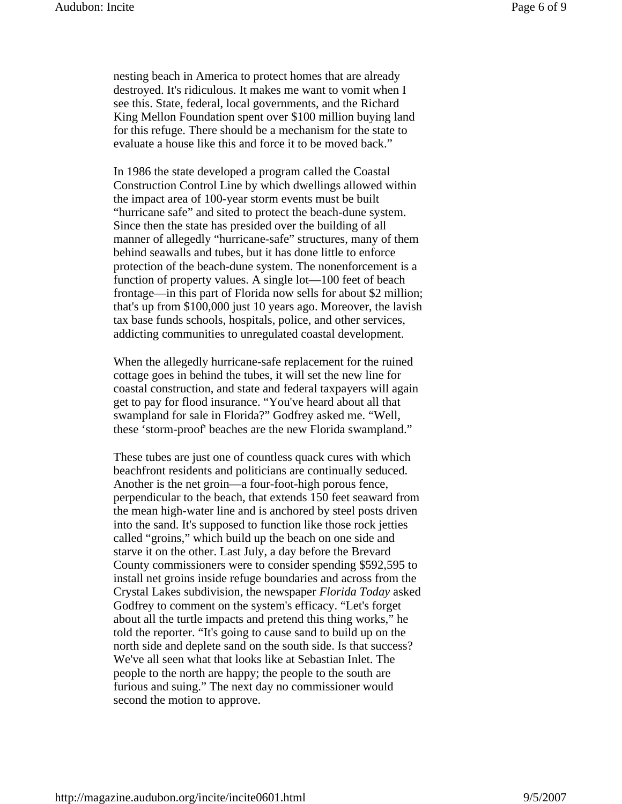nesting beach in America to protect homes that are already destroyed. It's ridiculous. It makes me want to vomit when I see this. State, federal, local governments, and the Richard King Mellon Foundation spent over \$100 million buying land for this refuge. There should be a mechanism for the state to evaluate a house like this and force it to be moved back."

In 1986 the state developed a program called the Coastal Construction Control Line by which dwellings allowed within the impact area of 100-year storm events must be built "hurricane safe" and sited to protect the beach-dune system. Since then the state has presided over the building of all manner of allegedly "hurricane-safe" structures, many of them behind seawalls and tubes, but it has done little to enforce protection of the beach-dune system. The nonenforcement is a function of property values. A single lot—100 feet of beach frontage—in this part of Florida now sells for about \$2 million; that's up from \$100,000 just 10 years ago. Moreover, the lavish tax base funds schools, hospitals, police, and other services, addicting communities to unregulated coastal development.

When the allegedly hurricane-safe replacement for the ruined cottage goes in behind the tubes, it will set the new line for coastal construction, and state and federal taxpayers will again get to pay for flood insurance. "You've heard about all that swampland for sale in Florida?" Godfrey asked me. "Well, these 'storm-proof' beaches are the new Florida swampland."

These tubes are just one of countless quack cures with which beachfront residents and politicians are continually seduced. Another is the net groin—a four-foot-high porous fence, perpendicular to the beach, that extends 150 feet seaward from the mean high-water line and is anchored by steel posts driven into the sand. It's supposed to function like those rock jetties called "groins," which build up the beach on one side and starve it on the other. Last July, a day before the Brevard County commissioners were to consider spending \$592,595 to install net groins inside refuge boundaries and across from the Crystal Lakes subdivision, the newspaper *Florida Today* asked Godfrey to comment on the system's efficacy. "Let's forget about all the turtle impacts and pretend this thing works," he told the reporter. "It's going to cause sand to build up on the north side and deplete sand on the south side. Is that success? We've all seen what that looks like at Sebastian Inlet. The people to the north are happy; the people to the south are furious and suing." The next day no commissioner would second the motion to approve.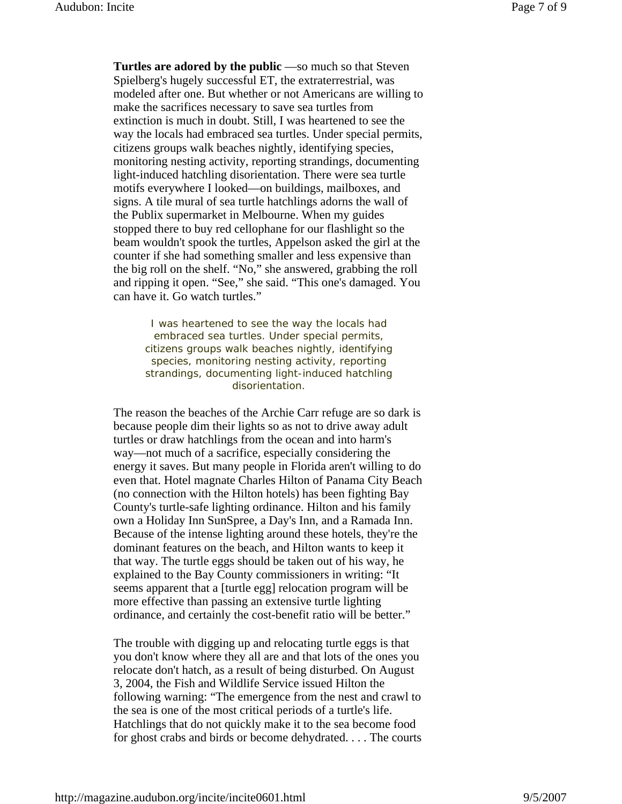**Turtles are adored by the public** —so much so that Steven Spielberg's hugely successful ET, the extraterrestrial, was modeled after one. But whether or not Americans are willing to make the sacrifices necessary to save sea turtles from extinction is much in doubt. Still, I was heartened to see the way the locals had embraced sea turtles. Under special permits, citizens groups walk beaches nightly, identifying species, monitoring nesting activity, reporting strandings, documenting light-induced hatchling disorientation. There were sea turtle motifs everywhere I looked—on buildings, mailboxes, and signs. A tile mural of sea turtle hatchlings adorns the wall of the Publix supermarket in Melbourne. When my guides stopped there to buy red cellophane for our flashlight so the beam wouldn't spook the turtles, Appelson asked the girl at the counter if she had something smaller and less expensive than the big roll on the shelf. "No," she answered, grabbing the roll and ripping it open. "See," she said. "This one's damaged. You can have it. Go watch turtles."

I was heartened to see the way the locals had embraced sea turtles. Under special permits, citizens groups walk beaches nightly, identifying species, monitoring nesting activity, reporting strandings, documenting light-induced hatchling disorientation.

The reason the beaches of the Archie Carr refuge are so dark is because people dim their lights so as not to drive away adult turtles or draw hatchlings from the ocean and into harm's way—not much of a sacrifice, especially considering the energy it saves. But many people in Florida aren't willing to do even that. Hotel magnate Charles Hilton of Panama City Beach (no connection with the Hilton hotels) has been fighting Bay County's turtle-safe lighting ordinance. Hilton and his family own a Holiday Inn SunSpree, a Day's Inn, and a Ramada Inn. Because of the intense lighting around these hotels, they're the dominant features on the beach, and Hilton wants to keep it that way. The turtle eggs should be taken out of his way, he explained to the Bay County commissioners in writing: "It seems apparent that a [turtle egg] relocation program will be more effective than passing an extensive turtle lighting ordinance, and certainly the cost-benefit ratio will be better."

The trouble with digging up and relocating turtle eggs is that you don't know where they all are and that lots of the ones you relocate don't hatch, as a result of being disturbed. On August 3, 2004, the Fish and Wildlife Service issued Hilton the following warning: "The emergence from the nest and crawl to the sea is one of the most critical periods of a turtle's life. Hatchlings that do not quickly make it to the sea become food for ghost crabs and birds or become dehydrated. . . . The courts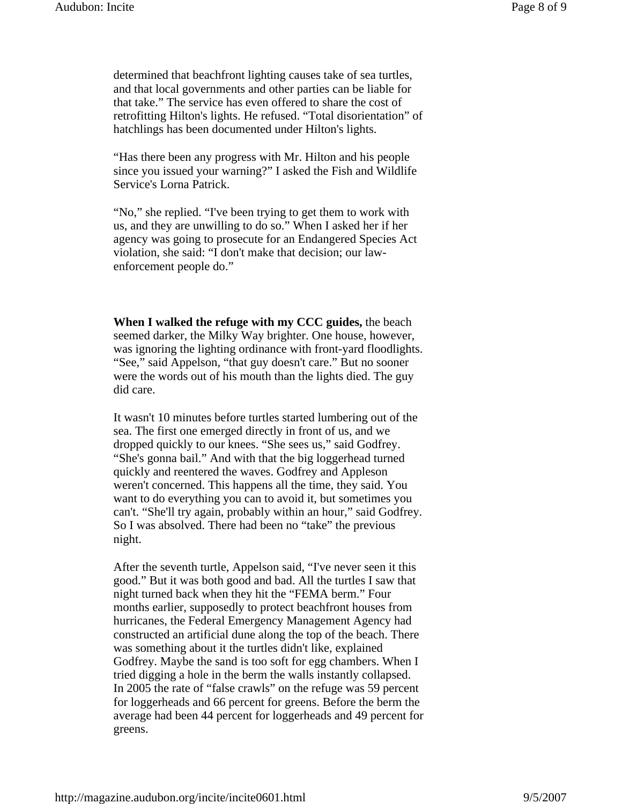determined that beachfront lighting causes take of sea turtles, and that local governments and other parties can be liable for that take." The service has even offered to share the cost of retrofitting Hilton's lights. He refused. "Total disorientation" of hatchlings has been documented under Hilton's lights.

"Has there been any progress with Mr. Hilton and his people since you issued your warning?" I asked the Fish and Wildlife Service's Lorna Patrick.

"No," she replied. "I've been trying to get them to work with us, and they are unwilling to do so." When I asked her if her agency was going to prosecute for an Endangered Species Act violation, she said: "I don't make that decision; our lawenforcement people do."

**When I walked the refuge with my CCC guides,** the beach seemed darker, the Milky Way brighter. One house, however, was ignoring the lighting ordinance with front-yard floodlights. "See," said Appelson, "that guy doesn't care." But no sooner were the words out of his mouth than the lights died. The guy did care.

It wasn't 10 minutes before turtles started lumbering out of the sea. The first one emerged directly in front of us, and we dropped quickly to our knees. "She sees us," said Godfrey. "She's gonna bail." And with that the big loggerhead turned quickly and reentered the waves. Godfrey and Appleson weren't concerned. This happens all the time, they said. You want to do everything you can to avoid it, but sometimes you can't. "She'll try again, probably within an hour," said Godfrey. So I was absolved. There had been no "take" the previous night.

After the seventh turtle, Appelson said, "I've never seen it this good." But it was both good and bad. All the turtles I saw that night turned back when they hit the "FEMA berm." Four months earlier, supposedly to protect beachfront houses from hurricanes, the Federal Emergency Management Agency had constructed an artificial dune along the top of the beach. There was something about it the turtles didn't like, explained Godfrey. Maybe the sand is too soft for egg chambers. When I tried digging a hole in the berm the walls instantly collapsed. In 2005 the rate of "false crawls" on the refuge was 59 percent for loggerheads and 66 percent for greens. Before the berm the average had been 44 percent for loggerheads and 49 percent for greens.